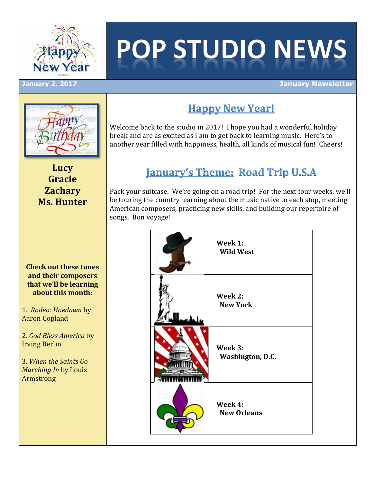

# **POP STUDIO NEWS**

**Happy New Year!**

Welcome back to the studio in 2017! I hope you had a wonderful holiday break and are as excited as I am to get back to learning music. Here's to another year filled with happiness, health, all kinds of musical fun! Cheers!

#### **January 2, 2017 January Newsletter**



**Lucy Gracie Zachary Ms. Hunter**

#### **Check out these tunes and their composers that we'll be learning about this month:**

1. *Rodeo: Hoedown* by Aaron Copland

2. *God Bless America* by Irving Berlin

3. *When the Saints Go Marching In* by Louis Armstrong

## **January's Theme: Road Trip U.S.A**

Pack your suitcase. We're going on a road trip! For the next four weeks, we'll be touring the country learning about the music native to each stop, meeting American composers, practicing new skills, and building our repertoire of songs. Bon voyage!